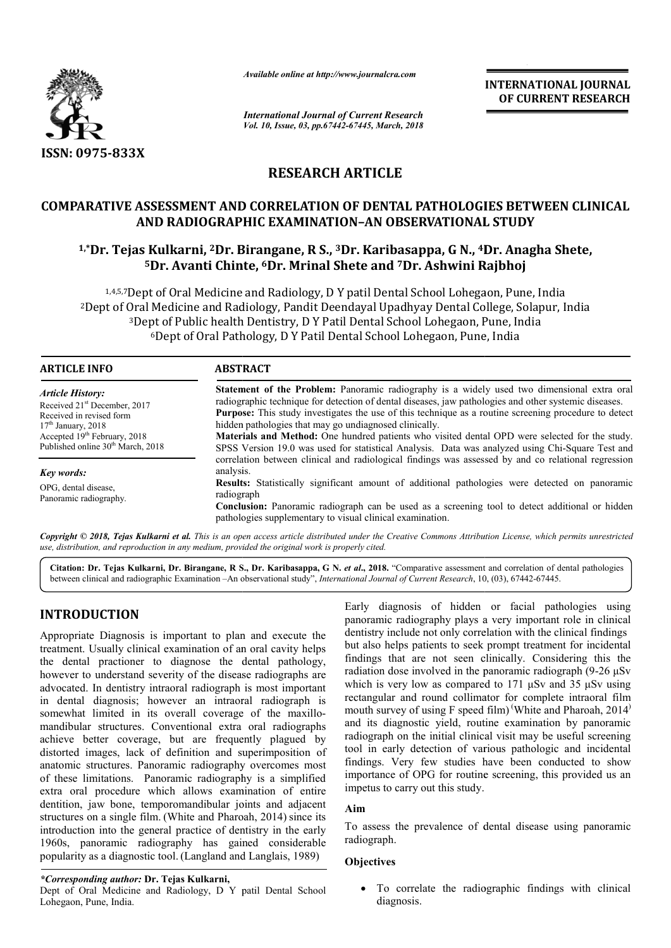

*Available online at http://www.journalcra.com*

*International Journal of Current Research Vol. 10, Issue, 03, pp.67442-67445, March, 2018* **INTERNATIONAL JOURNAL OF CURRENT RESEARCH**

# **RESEARCH ARTICLE**

## **COMPARATIVE ASSESSMENT AND CORRELATION OF DENTAL PATHOLOGIES BETWEEN CLINICAL AND RADIOGRAPHIC EXAMINATION–AN OBSERVATIONAL STUDY**

## **1,\*Dr. Tejas Kulkarni, 2Dr. Birangane, R S., 3Dr. Karibasappa, G N., 4Dr. Dr. Anagha Shete, 5Dr. Avanti Chinte Chinte, 6Dr. Mrinal Shete and 7Dr. Ashwini Rajbhoj**

1,4,5,7 Dept of Oral Medicine and Radiology, D Y patil Dental School Lohegaon, Pune, India 2Dept of Oral Medicine and Radiology, Pandit Deendayal Upadhyay Dental College College, Solapur, India <sup>3</sup>Dept of Public health Dentistry, D Y Patil Dental School Lohegaon, Pune, India <sup>6</sup>Dept of Oral Pathology, D Y Patil Dental School Lohegaon, Pune, India

| <b>ARTICLE INFO</b>                                                                                                                                                                                        | <b>ABSTRACT</b>                                                                                                                                                                                                                                                                                                                                                                                                                                                                                                                                                                             |  |  |
|------------------------------------------------------------------------------------------------------------------------------------------------------------------------------------------------------------|---------------------------------------------------------------------------------------------------------------------------------------------------------------------------------------------------------------------------------------------------------------------------------------------------------------------------------------------------------------------------------------------------------------------------------------------------------------------------------------------------------------------------------------------------------------------------------------------|--|--|
| <b>Article History:</b><br>Received 21 <sup>st</sup> December, 2017<br>Received in revised form<br>$17th$ January, 2018<br>Accepted $19th$ February, 2018<br>Published online 30 <sup>th</sup> March, 2018 | Statement of the Problem: Panoramic radiography is a widely used two dimensional extra oral<br>radiographic technique for detection of dental diseases, jaw pathologies and other systemic diseases.<br><b>Purpose:</b> This study investigates the use of this technique as a routine screening procedure to detect<br>hidden pathologies that may go undiagnosed clinically.<br><b>Materials and Method:</b> One hundred patients who visited dental OPD were selected for the study.<br>SPSS Version 19.0 was used for statistical Analysis. Data was analyzed using Chi-Square Test and |  |  |
| Key words:<br>OPG, dental disease,<br>Panoramic radiography.                                                                                                                                               | correlation between clinical and radiological findings was assessed by and co relational regression<br>analysis.<br><b>Results:</b> Statistically significant amount of additional pathologies were detected on panoramic<br>radiograph<br><b>Conclusion:</b> Panoramic radiograph can be used as a screening tool to detect additional or hidden<br>pathologies supplementary to visual clinical examination.                                                                                                                                                                              |  |  |

Copyright © 2018, Tejas Kulkarni et al. This is an open access article distributed under the Creative Commons Attribution License, which permits unrestrictea *use, distribution, and reproduction in any medium, provided the original work is properly cited.*

Citation: Dr. Tejas Kulkarni, Dr. Birangane, R S., Dr. Karibasappa, G N. et al., 2018. "Comparative assessment and correlation of dental pathologies between clinical and radiographic Examination -An observational study", *International Journal of Current Research*, 10, (03), 67442-67445.

## **INTRODUCTION**

Appropriate Diagnosis is important to plan and execute the treatment. Usually clinical examination of an oral cavity helps the dental practioner to diagnose the dental pathology, however to understand severity of the disease radiographs are advocated. In dentistry intraoral radiograph is most important in dental diagnosis; however an intraoral radiograph is somewhat limited in its overall coverage of the maxillomandibular structures. Conventional extra oral radiographs achieve better coverage, but are frequently plagued by distorted images, lack of definition and superimposition of anatomic structures. Panoramic radiography overcomes most of these limitations. Panoramic radiography is a simplified extra oral procedure which allows examination of entire dentition, jaw bone, temporomandibular joints and adjacent structures on a single film. (White and Pharoah, 2014) since its introduction into the general practice of dentistry in the early 1960s, panoramic radiography has gained considerable popularity as a diagnostic tool. (Langland and Langlais, 1989)

*\*Corresponding author:* **Dr. Tejas Kulkarni,**

Dept of Oral Medicine and Radiology, D Y patil Dental School Lohegaon, Pune, India.

Early diagnosis of hidden or facial pathologies using panoramic radiography plays a very important role in clinical dentistry include not only correlation with the clinical findings but also helps patients to seek prompt treatment for incidental findings that are not seen clinically. Considering this the radiation dose involved in the panoramic radiograph (9-26 μSv which is very low as compared to 171  $\mu$ Sv and 35  $\mu$ Sv using rectangular and round collimator for complete intraoral film mouth survey of using F speed film) ( White and Pharoah, 2014) and its diagnostic yield, routine examination by panoramic radiograph on the initial clinical visit may be useful screening tool in early detection of various pathologic and incidental findings. Very few studies have been conducted to show importance of OPG for routine screening, this provided us an impetus to carry out this study.

### **Aim**

To assess the prevalence of dental disease using panoramic radiograph.

#### **Objectives**

 To correlate the radiographic findings with clinical diagnosis.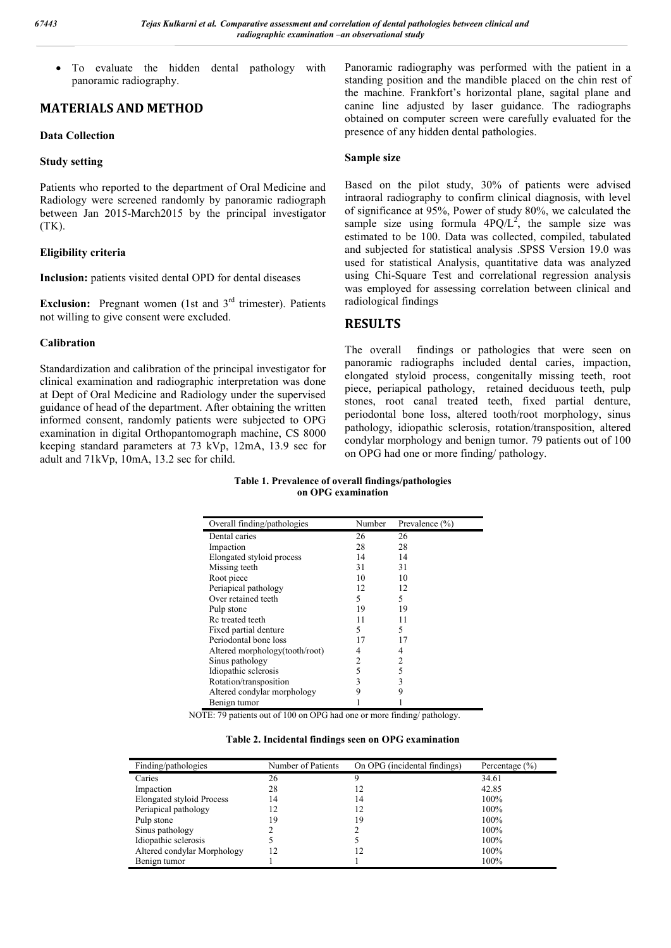To evaluate the hidden dental pathology with panoramic radiography.

## **MATERIALS AND METHOD**

### **Data Collection**

#### **Study setting**

Patients who reported to the department of Oral Medicine and Radiology were screened randomly by panoramic radiograph between Jan 2015-March2015 by the principal investigator (TK).

### **Eligibility criteria**

**Inclusion:** patients visited dental OPD for dental diseases

**Exclusion:** Pregnant women (1st and 3<sup>rd</sup> trimester). Patients not willing to give consent were excluded.

### **Calibration**

Standardization and calibration of the principal investigator for clinical examination and radiographic interpretation was done at Dept of Oral Medicine and Radiology under the supervised guidance of head of the department. After obtaining the written informed consent, randomly patients were subjected to OPG examination in digital Orthopantomograph machine, CS 8000 keeping standard parameters at 73 kVp, 12mA, 13.9 sec for adult and 71kVp, 10mA, 13.2 sec for child.

Panoramic radiography was performed with the patient in a standing position and the mandible placed on the chin rest of the machine. Frankfort's horizontal plane, sagital plane and canine line adjusted by laser guidance. The radiographs obtained on computer screen were carefully evaluated for the presence of any hidden dental pathologies.

#### **Sample size**

Based on the pilot study, 30% of patients were advised intraoral radiography to confirm clinical diagnosis, with level of significance at 95%, Power of study 80%, we calculated the sample size using formula  $4PQ/L^2$ , the sample size was estimated to be 100. Data was collected, compiled, tabulated and subjected for statistical analysis .SPSS Version 19.0 was used for statistical Analysis, quantitative data was analyzed using Chi-Square Test and correlational regression analysis was employed for assessing correlation between clinical and radiological findings

### **RESULTS**

The overall findings or pathologies that were seen on panoramic radiographs included dental caries, impaction, elongated styloid process, congenitally missing teeth, root piece, periapical pathology, retained deciduous teeth, pulp stones, root canal treated teeth, fixed partial denture, periodontal bone loss, altered tooth/root morphology, sinus pathology, idiopathic sclerosis, rotation/transposition, altered condylar morphology and benign tumor. 79 patients out of 100 on OPG had one or more finding/ pathology.

| Table 1. Prevalence of overall findings/pathologies |
|-----------------------------------------------------|
| on OPG examination                                  |

| Overall finding/pathologies    | Number | Prevalence $(\% )$ |
|--------------------------------|--------|--------------------|
| Dental caries                  | 26     | 26                 |
| Impaction                      | 28     | 28                 |
| Elongated styloid process      | 14     | 14                 |
| Missing teeth                  | 31     | 31                 |
| Root piece                     | 10     | 10                 |
| Periapical pathology           | 12     | 12                 |
| Over retained teeth            | 5      | 5                  |
| Pulp stone                     | 19     | 19                 |
| Rc treated teeth               | 11     | 11                 |
| Fixed partial denture          | 5      | 5                  |
| Periodontal bone loss          | 17     | 17                 |
| Altered morphology(tooth/root) | 4      | 4                  |
| Sinus pathology                | 2      | 2                  |
| Idiopathic sclerosis           | 5      | 5                  |
| Rotation/transposition         | 3      | 3                  |
| Altered condylar morphology    | 9      | 9                  |
| Benign tumor                   |        |                    |

NOTE: 79 patients out of 100 on OPG had one or more finding/ pathology.

|  |  | Table 2. Incidental findings seen on OPG examination |
|--|--|------------------------------------------------------|
|--|--|------------------------------------------------------|

| Finding/pathologies         | Number of Patients | On OPG (incidental findings) | Percentage $(\% )$ |
|-----------------------------|--------------------|------------------------------|--------------------|
| Caries                      | 26                 | Q                            | 34.61              |
| Impaction                   | 28                 | 12                           | 42.85              |
| Elongated styloid Process   | 14                 | 14                           | 100%               |
| Periapical pathology        |                    | 12                           | 100%               |
| Pulp stone                  | 19                 | 19                           | 100%               |
| Sinus pathology             |                    |                              | 100%               |
| Idiopathic sclerosis        |                    |                              | 100%               |
| Altered condylar Morphology |                    | 12                           | 100%               |
| Benign tumor                |                    |                              | 100%               |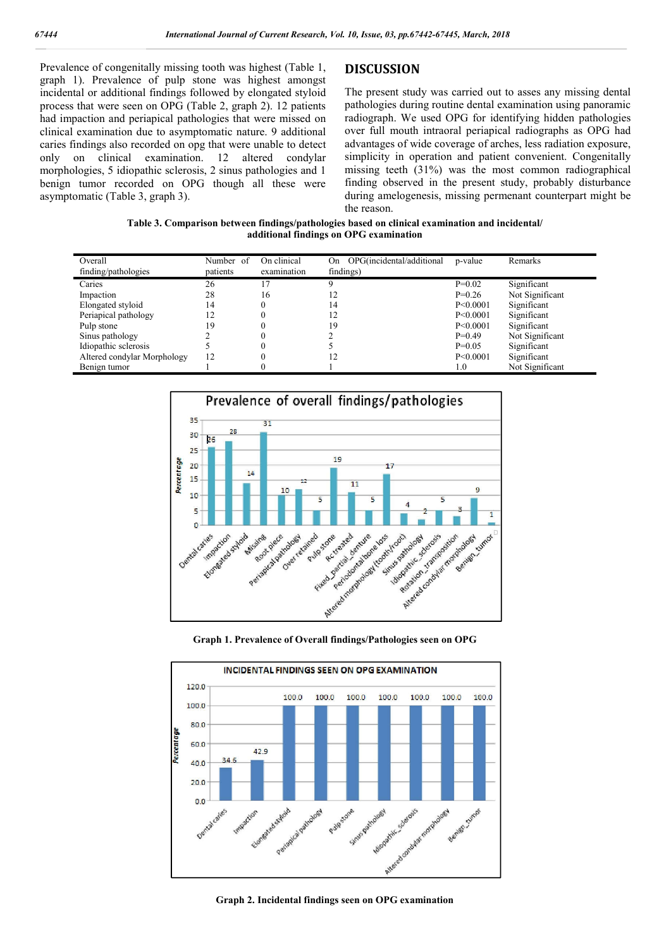Prevalence of congenitally missing tooth was highest (Table 1, graph 1). Prevalence of pulp stone was highest amongst incidental or additional findings followed by elongated styloid process that were seen on OPG (Table 2, graph 2). 12 patients had impaction and periapical pathologies that were missed on clinical examination due to asymptomatic nature. 9 additional caries findings also recorded on opg that were unable to detect only on clinical examination. 12 altered condylar morphologies, 5 idiopathic sclerosis, 2 sinus pathologies and 1 benign tumor recorded on OPG though all these were asymptomatic (Table 3, graph 3).

### **DISCUSSION**

The present study was carried out to asses any missing dental pathologies during routine dental examination using panoramic radiograph. We used OPG for identifying hidden pathologies over full mouth intraoral periapical radiographs as OPG had advantages of wide coverage of arches, less radiation exposure, simplicity in operation and patient convenient. Congenitally missing teeth (31%) was the most common radiographical finding observed in the present study, probably disturbance during amelogenesis, missing permenant counterpart might be the reason.

| Table 3. Comparison between findings/pathologies based on clinical examination and incidental/ |
|------------------------------------------------------------------------------------------------|
| additional findings on OPG examination                                                         |

| Overall<br>finding/pathologies | Number of<br>patients | On clinical<br>examination | OPG(incidental/additional<br>On.<br>findings) | p-value    | Remarks         |
|--------------------------------|-----------------------|----------------------------|-----------------------------------------------|------------|-----------------|
| Caries                         | 26                    |                            |                                               | $P=0.02$   | Significant     |
| Impaction                      | 28                    | 16                         | 12                                            | $P=0.26$   | Not Significant |
| Elongated styloid              | 14                    |                            | 14                                            | P < 0.0001 | Significant     |
| Periapical pathology           | 12                    |                            | 12                                            | P<0.0001   | Significant     |
| Pulp stone                     | 19                    |                            | 19                                            | P < 0.0001 | Significant     |
| Sinus pathology                |                       |                            |                                               | $P=0.49$   | Not Significant |
| Idiopathic sclerosis           |                       |                            |                                               | $P=0.05$   | Significant     |
| Altered condylar Morphology    | 12                    |                            | 12                                            | P < 0.0001 | Significant     |
| Benign tumor                   |                       | u                          |                                               | 1.0        | Not Significant |



**Graph 1. Prevalence of Overall findings/Pathologies seen on OPG**



**Graph 2. Incidental findings seen on OPG examination**